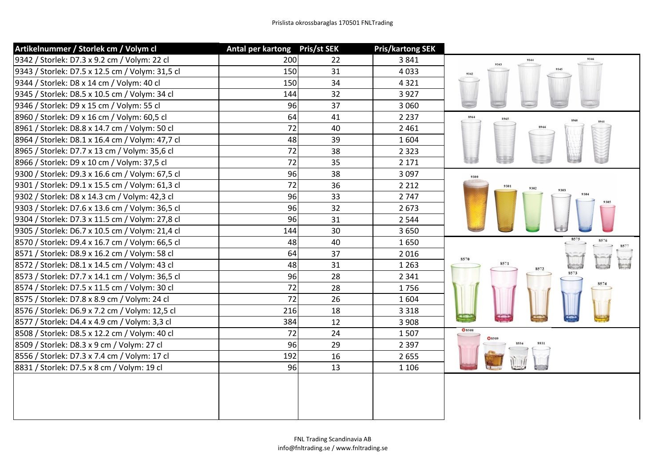| Artikelnummer / Storlek cm / Volym cl           | Antal per kartong Pris/st SEK |    | <b>Pris/kartong SEK</b> |               |
|-------------------------------------------------|-------------------------------|----|-------------------------|---------------|
| 9342 / Storlek: D7.3 x 9.2 cm / Volym: 22 cl    | 200                           | 22 | 3841                    | 9346<br>9344  |
| 9343 / Storlek: D7.5 x 12.5 cm / Volym: 31,5 cl | 150                           | 31 | 4033                    |               |
| 9344 / Storlek: D8 x 14 cm / Volym: 40 cl       | 150                           | 34 | 4321                    |               |
| 9345 / Storlek: D8.5 x 10.5 cm / Volym: 34 cl   | 144                           | 32 | 3927                    |               |
| 9346 / Storlek: D9 x 15 cm / Volym: 55 cl       | 96                            | 37 | 3 0 6 0                 |               |
| 8960 / Storlek: D9 x 16 cm / Volym: 60,5 cl     | 64                            | 41 | 2 2 3 7                 | 8964<br>8965  |
| 8961 / Storlek: D8.8 x 14.7 cm / Volym: 50 cl   | 72                            | 40 | 2 4 6 1                 |               |
| 8964 / Storlek: D8.1 x 16.4 cm / Volym: 47,7 cl | 48                            | 39 | 1604                    |               |
| 8965 / Storlek: D7.7 x 13 cm / Volym: 35,6 cl   | 72                            | 38 | 2 3 2 3                 |               |
| 8966 / Storlek: D9 x 10 cm / Volym: 37,5 cl     | 72                            | 35 | 2 1 7 1                 | k s s         |
| 9300 / Storlek: D9.3 x 16.6 cm / Volym: 67,5 cl | 96                            | 38 | 3 0 9 7                 | 9300          |
| 9301 / Storlek: D9.1 x 15.5 cm / Volym: 61,3 cl | 72                            | 36 | 2 2 1 2                 |               |
| 9302 / Storlek: D8 x 14.3 cm / Volym: 42,3 cl   | 96                            | 33 | 2 7 4 7                 |               |
| 9303 / Storlek: D7.6 x 13.6 cm / Volym: 36,5 cl | 96                            | 32 | 2673                    |               |
| 9304 / Storlek: D7.3 x 11.5 cm / Volym: 27,8 cl | 96                            | 31 | 2 5 4 4                 |               |
| 9305 / Storlek: D6.7 x 10.5 cm / Volym: 21,4 cl | 144                           | 30 | 3650                    |               |
| 8570 / Storlek: D9.4 x 16.7 cm / Volym: 66,5 cl | 48                            | 40 | 1650                    | 8576          |
| 8571 / Storlek: D8.9 x 16.2 cm / Volym: 58 cl   | 64                            | 37 | 2016                    | 8570          |
| 8572 / Storlek: D8.1 x 14.5 cm / Volym: 43 cl   | 48                            | 31 | 1 2 6 3                 | 8571<br>8572  |
| 8573 / Storlek: D7.7 x 14.1 cm / Volym: 36,5 cl | 96                            | 28 | 2 3 4 1                 | 8573          |
| 8574 / Storlek: D7.5 x 11.5 cm / Volym: 30 cl   | 72                            | 28 | 1756                    |               |
| 8575 / Storlek: D7.8 x 8.9 cm / Volym: 24 cl    | 72                            | 26 | 1604                    |               |
| 8576 / Storlek: D6.9 x 7.2 cm / Volym: 12,5 cl  | 216                           | 18 | 3 3 1 8                 |               |
| 8577 / Storlek: D4.4 x 4.9 cm / Volym: 3,3 cl   | 384                           | 12 | 3 9 0 8                 |               |
| 8508 / Storlek: D8.5 x 12.2 cm / Volym: 40 cl   | 72                            | 24 | 1507                    | <b>O</b> 8508 |
| 8509 / Storlek: D8.3 x 9 cm / Volym: 27 cl      | 96                            | 29 | 2 3 9 7                 |               |
| 8556 / Storlek: D7.3 x 7.4 cm / Volym: 17 cl    | 192                           | 16 | 2655                    |               |
| 8831 / Storlek: D7.5 x 8 cm / Volym: 19 cl      | 96                            | 13 | 1 1 0 6                 |               |
|                                                 |                               |    |                         |               |
|                                                 |                               |    |                         |               |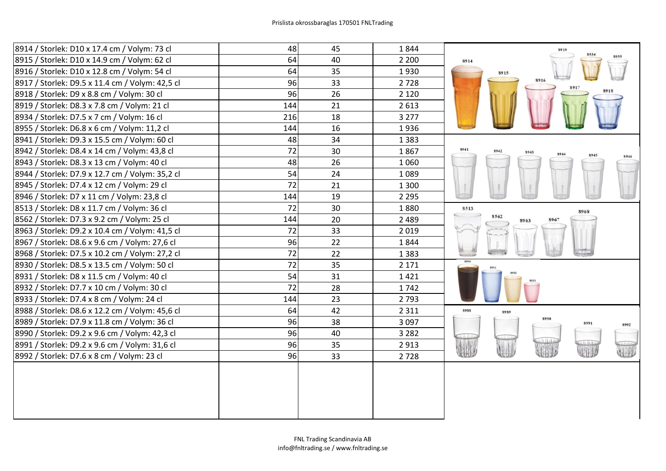| 8914 / Storlek: D10 x 17.4 cm / Volym: 73 cl    | 48  | 45 | 1844    | 8919                         |
|-------------------------------------------------|-----|----|---------|------------------------------|
| 8915 / Storlek: D10 x 14.9 cm / Volym: 62 cl    | 64  | 40 | 2 2 0 0 | 8914                         |
| 8916 / Storlek: D10 x 12.8 cm / Volym: 54 cl    | 64  | 35 | 1930    | 8915                         |
| 8917 / Storlek: D9.5 x 11.4 cm / Volym: 42,5 cl | 96  | 33 | 2728    | 8916                         |
| 8918 / Storlek: D9 x 8.8 cm / Volym: 30 cl      | 96  | 26 | 2 1 2 0 |                              |
| 8919 / Storlek: D8.3 x 7.8 cm / Volym: 21 cl    | 144 | 21 | 2 6 1 3 |                              |
| 8934 / Storlek: D7.5 x 7 cm / Volym: 16 cl      | 216 | 18 | 3 2 7 7 |                              |
| 8955 / Storlek: D6.8 x 6 cm / Volym: 11,2 cl    | 144 | 16 | 1936    |                              |
| 8941 / Storlek: D9.3 x 15.5 cm / Volym: 60 cl   | 48  | 34 | 1 3 8 3 |                              |
| 8942 / Storlek: D8.4 x 14 cm / Volym: 43,8 cl   | 72  | 30 | 1867    | 8941<br>8942<br>8943<br>8944 |
| 8943 / Storlek: D8.3 x 13 cm / Volym: 40 cl     | 48  | 26 | 1060    |                              |
| 8944 / Storlek: D7.9 x 12.7 cm / Volym: 35,2 cl | 54  | 24 | 1089    |                              |
| 8945 / Storlek: D7.4 x 12 cm / Volym: 29 cl     | 72  | 21 | 1 3 0 0 |                              |
| 8946 / Storlek: D7 x 11 cm / Volym: 23,8 cl     | 144 | 19 | 2 2 9 5 |                              |
| 8513 / Storlek: D8 x 11.7 cm / Volym: 36 cl     | 72  | 30 | 1880    | 8513<br>8968                 |
| 8562 / Storlek: D7.3 x 9.2 cm / Volym: 25 cl    | 144 | 20 | 2 4 8 9 | 8562<br>896<br>8963          |
| 8963 / Storlek: D9.2 x 10.4 cm / Volym: 41,5 cl | 72  | 33 | 2019    |                              |
| 8967 / Storlek: D8.6 x 9.6 cm / Volym: 27,6 cl  | 96  | 22 | 1844    |                              |
| 8968 / Storlek: D7.5 x 10.2 cm / Volym: 27,2 cl | 72  | 22 | 1 3 8 3 |                              |
| 8930 / Storlek: D8.5 x 13.5 cm / Volym: 50 cl   | 72  | 35 | 2 1 7 1 |                              |
| 8931 / Storlek: D8 x 11.5 cm / Volym: 40 cl     | 54  | 31 | 1421    |                              |
| 8932 / Storlek: D7.7 x 10 cm / Volym: 30 cl     | 72  | 28 | 1742    |                              |
| 8933 / Storlek: D7.4 x 8 cm / Volym: 24 cl      | 144 | 23 | 2793    |                              |
| 8988 / Storlek: D8.6 x 12.2 cm / Volym: 45,6 cl | 64  | 42 | 2 3 1 1 | 8988<br>8989                 |
| 8989 / Storlek: D7.9 x 11.8 cm / Volym: 36 cl   | 96  | 38 | 3 0 9 7 | 8990<br>8991<br>8992         |
| 8990 / Storlek: D9.2 x 9.6 cm / Volym: 42,3 cl  | 96  | 40 | 3 2 8 2 |                              |
| 8991 / Storlek: D9.2 x 9.6 cm / Volym: 31,6 cl  | 96  | 35 | 2913    | UID                          |
| 8992 / Storlek: D7.6 x 8 cm / Volym: 23 cl      | 96  | 33 | 2728    | W<br>JH                      |
|                                                 |     |    |         |                              |
|                                                 |     |    |         |                              |
|                                                 |     |    |         |                              |
|                                                 |     |    |         |                              |
|                                                 |     |    |         |                              |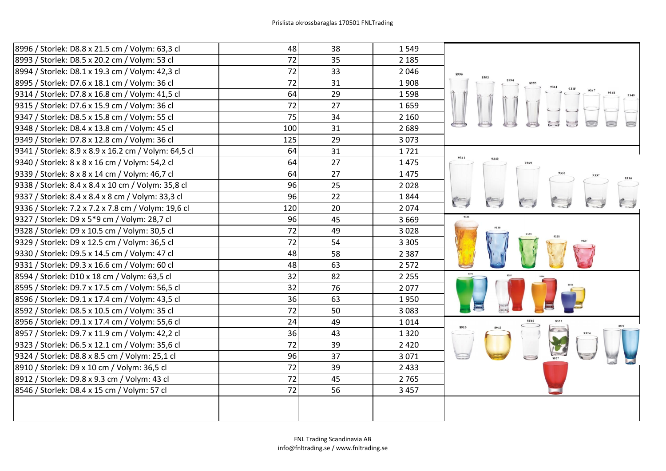| 8996 / Storlek: D8.8 x 21.5 cm / Volym: 63,3 cl      | 48  | 38 | 1549    |              |
|------------------------------------------------------|-----|----|---------|--------------|
| 8993 / Storlek: D8.5 x 20.2 cm / Volym: 53 cl        | 72  | 35 | 2 1 8 5 |              |
| 8994 / Storlek: D8.1 x 19.3 cm / Volym: 42,3 cl      | 72  | 33 | 2046    |              |
| 8995 / Storlek: D7.6 x 18.1 cm / Volym: 36 cl        | 72  | 31 | 1908    |              |
| 9314 / Storlek: D7.8 x 16.8 cm / Volym: 41,5 cl      | 64  | 29 | 1598    |              |
| 9315 / Storlek: D7.6 x 15.9 cm / Volym: 36 cl        | 72  | 27 | 1659    |              |
| 9347 / Storlek: D8.5 x 15.8 cm / Volym: 55 cl        | 75  | 34 | 2 1 6 0 |              |
| 9348 / Storlek: D8.4 x 13.8 cm / Volym: 45 cl        | 100 | 31 | 2689    |              |
| 9349 / Storlek: D7.8 x 12.8 cm / Volym: 36 cl        | 125 | 29 | 3073    |              |
| 9341 / Storlek: 8.9 x 8.9 x 16.2 cm / Volym: 64,5 cl | 64  | 31 | 1721    |              |
| 9340 / Storlek: 8 x 8 x 16 cm / Volym: 54,2 cl       | 64  | 27 | 1475    | 9341         |
| 9339 / Storlek: 8 x 8 x 14 cm / Volym: 46,7 cl       | 64  | 27 | 1475    | 9337         |
| 9338 / Storlek: 8.4 x 8.4 x 10 cm / Volym: 35,8 cl   | 96  | 25 | 2028    |              |
| 9337 / Storlek: 8.4 x 8.4 x 8 cm / Volym: 33,3 cl    | 96  | 22 | 1844    |              |
| 9336 / Storlek: 7.2 x 7.2 x 7.8 cm / Volym: 19,6 cl  | 120 | 20 | 2074    |              |
| 9327 / Storlek: D9 x 5*9 cm / Volym: 28,7 cl         | 96  | 45 | 3 6 6 9 |              |
| 9328 / Storlek: D9 x 10.5 cm / Volym: 30,5 cl        | 72  | 49 | 3028    |              |
| 9329 / Storlek: D9 x 12.5 cm / Volym: 36,5 cl        | 72  | 54 | 3 3 0 5 |              |
| 9330 / Storlek: D9.5 x 14.5 cm / Volym: 47 cl        | 48  | 58 | 2 3 8 7 |              |
| 9331 / Storlek: D9.3 x 16.6 cm / Volym: 60 cl        | 48  | 63 | 2 5 7 2 |              |
| 8594 / Storlek: D10 x 18 cm / Volym: 63,5 cl         | 32  | 82 | 2 2 5 5 |              |
| 8595 / Storlek: D9.7 x 17.5 cm / Volym: 56,5 cl      | 32  | 76 | 2077    |              |
| 8596 / Storlek: D9.1 x 17.4 cm / Volym: 43,5 cl      | 36  | 63 | 1950    |              |
| 8592 / Storlek: D8.5 x 10.5 cm / Volym: 35 cl        | 72  | 50 | 3 0 8 3 |              |
| 8956 / Storlek: D9.1 x 17.4 cm / Volym: 55,6 cl      | 24  | 49 | 1014    | 8546<br>8910 |
| 8957 / Storlek: D9.7 x 11.9 cm / Volym: 42,2 cl      | 36  | 43 | 1320    |              |
| 9323 / Storlek: D6.5 x 12.1 cm / Volym: 35,6 cl      | 72  | 39 | 2 4 2 0 |              |
| 9324 / Storlek: D8.8 x 8.5 cm / Volym: 25,1 cl       | 96  | 37 | 3 0 7 1 |              |
| 8910 / Storlek: D9 x 10 cm / Volym: 36,5 cl          | 72  | 39 | 2 4 3 3 |              |
| 8912 / Storlek: D9.8 x 9.3 cm / Volym: 43 cl         | 72  | 45 | 2765    |              |
| 8546 / Storlek: D8.4 x 15 cm / Volym: 57 cl          | 72  | 56 | 3 4 5 7 |              |
|                                                      |     |    |         |              |
|                                                      |     |    |         |              |
|                                                      |     |    |         |              |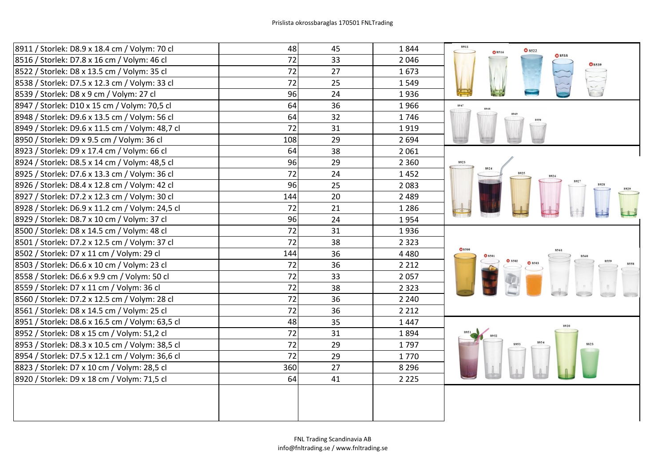| 8911 / Storlek: D8.9 x 18.4 cm / Volym: 70 cl   | 48              | 45 | 1844    | 8911<br>8522<br>Q8516 |
|-------------------------------------------------|-----------------|----|---------|-----------------------|
| 8516 / Storlek: D7.8 x 16 cm / Volym: 46 cl     | 72              | 33 | 2046    |                       |
| 8522 / Storlek: D8 x 13.5 cm / Volym: 35 cl     | 72              | 27 | 1673    |                       |
| 8538 / Storlek: D7.5 x 12.3 cm / Volym: 33 cl   | $\overline{72}$ | 25 | 1549    |                       |
| 8539 / Storlek: D8 x 9 cm / Volym: 27 cl        | 96              | 24 | 1936    |                       |
| 8947 / Storlek: D10 x 15 cm / Volym: 70,5 cl    | 64              | 36 | 1966    | 8947                  |
| 8948 / Storlek: D9.6 x 13.5 cm / Volym: 56 cl   | 64              | 32 | 1746    |                       |
| 8949 / Storlek: D9.6 x 11.5 cm / Volym: 48,7 cl | 72              | 31 | 1919    |                       |
| 8950 / Storlek: D9 x 9.5 cm / Volym: 36 cl      | 108             | 29 | 2 6 9 4 |                       |
| 8923 / Storlek: D9 x 17.4 cm / Volym: 66 cl     | 64              | 38 | 2 0 6 1 |                       |
| 8924 / Storlek: D8.5 x 14 cm / Volym: 48,5 cl   | 96              | 29 | 2 3 6 0 | 8923                  |
| 8925 / Storlek: D7.6 x 13.3 cm / Volym: 36 cl   | 72              | 24 | 1452    |                       |
| 8926 / Storlek: D8.4 x 12.8 cm / Volym: 42 cl   | 96              | 25 | 2083    |                       |
| 8927 / Storlek: D7.2 x 12.3 cm / Volym: 30 cl   | 144             | 20 | 2 4 8 9 |                       |
| 8928 / Storlek: D6.9 x 11.2 cm / Volym: 24,5 cl | 72              | 21 | 1 2 8 6 |                       |
| 8929 / Storlek: D8.7 x 10 cm / Volym: 37 cl     | 96              | 24 | 1954    |                       |
| 8500 / Storlek: D8 x 14.5 cm / Volym: 48 cl     | 72              | 31 | 1936    |                       |
| 8501 / Storlek: D7.2 x 12.5 cm / Volym: 37 cl   | 72              | 38 | 2 3 2 3 |                       |
| 8502 / Storlek: D7 x 11 cm / Volym: 29 cl       | 144             | 36 | 4 4 8 0 |                       |
| 8503 / Storlek: D6.6 x 10 cm / Volym: 23 cl     | 72              | 36 | 2 2 1 2 | Q8502                 |
| 8558 / Storlek: D6.6 x 9.9 cm / Volym: 50 cl    | 72              | 33 | 2057    |                       |
| 8559 / Storlek: D7 x 11 cm / Volym: 36 cl       | 72              | 38 | 2 3 2 3 |                       |
| 8560 / Storlek: D7.2 x 12.5 cm / Volym: 28 cl   | 72              | 36 | 2 2 4 0 |                       |
| 8561 / Storlek: D8 x 14.5 cm / Volym: 25 cl     | 72              | 36 | 2 2 1 2 |                       |
| 8951 / Storlek: D8.6 x 16.5 cm / Volym: 63,5 cl | 48              | 35 | 1447    |                       |
| 8952 / Storlek: D8 x 15 cm / Volym: 51,2 cl     | 72              | 31 | 1894    |                       |
| 8953 / Storlek: D8.3 x 10.5 cm / Volym: 38,5 cl | 72              | 29 | 1797    |                       |
| 8954 / Storlek: D7.5 x 12.1 cm / Volym: 36,6 cl | 72              | 29 | 1770    |                       |
| 8823 / Storlek: D7 x 10 cm / Volym: 28,5 cl     | 360             | 27 | 8 2 9 6 |                       |
| 8920 / Storlek: D9 x 18 cm / Volym: 71,5 cl     | 64              | 41 | 2 2 2 5 |                       |
|                                                 |                 |    |         |                       |
|                                                 |                 |    |         |                       |
|                                                 |                 |    |         |                       |
|                                                 |                 |    |         |                       |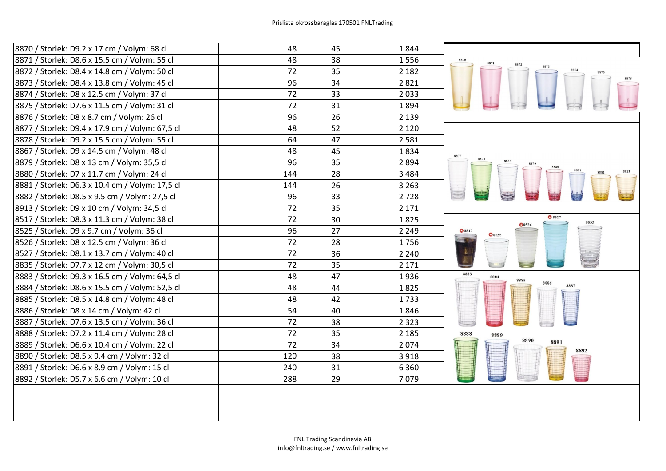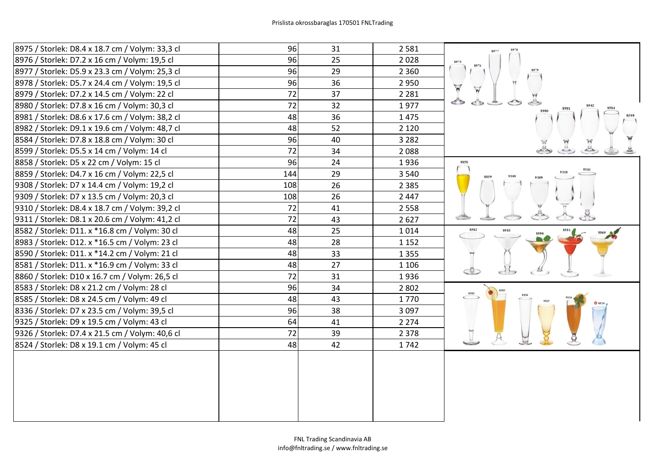| 8975 / Storlek: D8.4 x 18.7 cm / Volym: 33,3 cl | 96  | 31 | 2581    |                 |
|-------------------------------------------------|-----|----|---------|-----------------|
| 8976 / Storlek: D7.2 x 16 cm / Volym: 19,5 cl   | 96  | 25 | 2028    |                 |
| 8977 / Storlek: D5.9 x 23.3 cm / Volym: 25,3 cl | 96  | 29 | 2 3 6 0 |                 |
| 8978 / Storlek: D5.7 x 24.4 cm / Volym: 19,5 cl | 96  | 36 | 2950    | $\triangledown$ |
| 8979 / Storlek: D7.2 x 14.5 cm / Volym: 22 cl   | 72  | 37 | 2 2 8 1 |                 |
| 8980 / Storlek: D7.8 x 16 cm / Volym: 30,3 cl   | 72  | 32 | 1977    | $\sigma$        |
| 8981 / Storlek: D8.6 x 17.6 cm / Volym: 38,2 cl | 48  | 36 | 1475    |                 |
| 8982 / Storlek: D9.1 x 19.6 cm / Volym: 48,7 cl | 48  | 52 | 2 1 2 0 |                 |
| 8584 / Storlek: D7.8 x 18.8 cm / Volym: 30 cl   | 96  | 40 | 3 2 8 2 |                 |
| 8599 / Storlek: D5.5 x 14 cm / Volym: 14 cl     | 72  | 34 | 2088    |                 |
| 8858 / Storlek: D5 x 22 cm / Volym: 15 cl       | 96  | 24 | 1936    | 8858            |
| 8859 / Storlek: D4.7 x 16 cm / Volym: 22,5 cl   | 144 | 29 | 3 5 4 0 | 8859            |
| 9308 / Storlek: D7 x 14.4 cm / Volym: 19,2 cl   | 108 | 26 | 2 3 8 5 |                 |
| 9309 / Storlek: D7 x 13.5 cm / Volym: 20,3 cl   | 108 | 26 | 2 4 4 7 |                 |
| 9310 / Storlek: D8.4 x 18.7 cm / Volym: 39,2 cl | 72  | 41 | 2 5 5 8 |                 |
| 9311 / Storlek: D8.1 x 20.6 cm / Volym: 41,2 cl | 72  | 43 | 2627    |                 |
| 8582 / Storlek: D11. x *16.8 cm / Volym: 30 cl  | 48  | 25 | 1014    | 8582<br>8983    |
| 8983 / Storlek: D12. x *16.5 cm / Volym: 23 cl  | 48  | 28 | 1 1 5 2 |                 |
| 8590 / Storlek: D11. x *14.2 cm / Volym: 21 cl  | 48  | 33 | 1 3 5 5 |                 |
| 8581 / Storlek: D11. x *16.9 cm / Volym: 33 cl  | 48  | 27 | 1 1 0 6 |                 |
| 8860 / Storlek: D10 x 16.7 cm / Volym: 26,5 cl  | 72  | 31 | 1936    |                 |
| 8583 / Storlek: D8 x 21.2 cm / Volym: 28 cl     | 96  | 34 | 2 8 0 2 | 8583            |
| 8585 / Storlek: D8 x 24.5 cm / Volym: 49 cl     | 48  | 43 | 1770    |                 |
| 8336 / Storlek: D7 x 23.5 cm / Volym: 39,5 cl   | 96  | 38 | 3 0 9 7 |                 |
| 9325 / Storlek: D9 x 19.5 cm / Volym: 43 cl     | 64  | 41 | 2 2 7 4 |                 |
| 9326 / Storlek: D7.4 x 21.5 cm / Volym: 40,6 cl | 72  | 39 | 2 3 7 8 |                 |
| 8524 / Storlek: D8 x 19.1 cm / Volym: 45 cl     | 48  | 42 | 1742    |                 |
|                                                 |     |    |         |                 |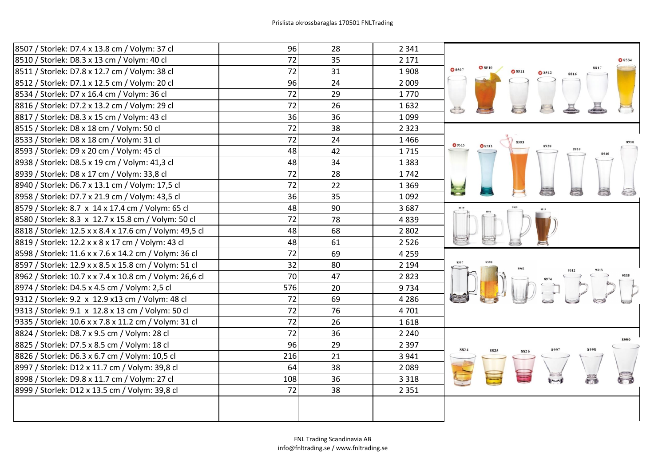| 8507 / Storlek: D7.4 x 13.8 cm / Volym: 37 cl           | 96              | 28 | 2 3 4 1 |                                                                                                                                                                                                                                                                                                                                                                                                                                                                        |
|---------------------------------------------------------|-----------------|----|---------|------------------------------------------------------------------------------------------------------------------------------------------------------------------------------------------------------------------------------------------------------------------------------------------------------------------------------------------------------------------------------------------------------------------------------------------------------------------------|
| 8510 / Storlek: D8.3 x 13 cm / Volym: 40 cl             | 72              | 35 | 2 1 7 1 | <b>C</b> 8534                                                                                                                                                                                                                                                                                                                                                                                                                                                          |
| 8511 / Storlek: D7.8 x 12.7 cm / Volym: 38 cl           | 72              | 31 | 1908    | Q8510<br><b>O</b> 8507<br>Q8511                                                                                                                                                                                                                                                                                                                                                                                                                                        |
| 8512 / Storlek: D7.1 x 12.5 cm / Volym: 20 cl           | 96              | 24 | 2 0 0 9 |                                                                                                                                                                                                                                                                                                                                                                                                                                                                        |
| 8534 / Storlek: D7 x 16.4 cm / Volym: 36 cl             | 72              | 29 | 1770    |                                                                                                                                                                                                                                                                                                                                                                                                                                                                        |
| 8816 / Storlek: D7.2 x 13.2 cm / Volym: 29 cl           | 72              | 26 | 1632    |                                                                                                                                                                                                                                                                                                                                                                                                                                                                        |
| 8817 / Storlek: D8.3 x 15 cm / Volym: 43 cl             | 36              | 36 | 1 0 9 9 |                                                                                                                                                                                                                                                                                                                                                                                                                                                                        |
| 8515 / Storlek: D8 x 18 cm / Volym: 50 cl               | 72              | 38 | 2 3 2 3 |                                                                                                                                                                                                                                                                                                                                                                                                                                                                        |
| 8533 / Storlek: D8 x 18 cm / Volym: 31 cl               | 72              | 24 | 1466    | <b>O</b> 8515<br><b>C</b> 8533                                                                                                                                                                                                                                                                                                                                                                                                                                         |
| 8593 / Storlek: D9 x 20 cm / Volym: 45 cl               | 48              | 42 | 1715    |                                                                                                                                                                                                                                                                                                                                                                                                                                                                        |
| 8938 / Storlek: D8.5 x 19 cm / Volym: 41,3 cl           | 48              | 34 | 1 3 8 3 |                                                                                                                                                                                                                                                                                                                                                                                                                                                                        |
| 8939 / Storlek: D8 x 17 cm / Volym: 33,8 cl             | $\overline{72}$ | 28 | 1742    |                                                                                                                                                                                                                                                                                                                                                                                                                                                                        |
| 8940 / Storlek: D6.7 x 13.1 cm / Volym: 17,5 cl         | 72              | 22 | 1 3 6 9 |                                                                                                                                                                                                                                                                                                                                                                                                                                                                        |
| 8958 / Storlek: D7.7 x 21.9 cm / Volym: 43,5 cl         | 36              | 35 | 1 0 9 2 |                                                                                                                                                                                                                                                                                                                                                                                                                                                                        |
| 8579 / Storlek: 8.7 x 14 x 17.4 cm / Volym: 65 cl       | 48              | 90 | 3687    |                                                                                                                                                                                                                                                                                                                                                                                                                                                                        |
| 8580 / Storlek: 8.3 x 12.7 x 15.8 cm / Volym: 50 cl     | $\frac{1}{72}$  | 78 | 4839    |                                                                                                                                                                                                                                                                                                                                                                                                                                                                        |
| 8818 / Storlek: 12.5 x x 8.4 x 17.6 cm / Volym: 49,5 cl | 48              | 68 | 2 8 0 2 |                                                                                                                                                                                                                                                                                                                                                                                                                                                                        |
| 8819 / Storlek: 12.2 x x 8 x 17 cm / Volym: 43 cl       | 48              | 61 | 2 5 2 6 |                                                                                                                                                                                                                                                                                                                                                                                                                                                                        |
| 8598 / Storlek: 11.6 x x 7.6 x 14.2 cm / Volym: 36 cl   | 72              | 69 | 4 2 5 9 |                                                                                                                                                                                                                                                                                                                                                                                                                                                                        |
| 8597 / Storlek: 12.9 x x 8.5 x 15.8 cm / Volym: 51 cl   | 32              | 80 | 2 1 9 4 |                                                                                                                                                                                                                                                                                                                                                                                                                                                                        |
| 8962 / Storlek: 10.7 x x 7.4 x 10.8 cm / Volym: 26,6 cl | 70              | 47 | 2823    |                                                                                                                                                                                                                                                                                                                                                                                                                                                                        |
| 8974 / Storlek: D4.5 x 4.5 cm / Volym: 2,5 cl           | 576             | 20 | 9734    | $\begin{array}{c}\n\begin{array}{ccc}\n\text{374} & \text{386} \\ \hline\n\end{array} & \begin{array}{ccc}\n\text{386} & \text{386} \\ \hline\n\end{array} & \begin{array}{ccc}\n\text{386} & \text{386} \\ \hline\n\end{array} & \begin{array}{ccc}\n\text{386} & \text{386} \\ \hline\n\end{array} & \begin{array}{ccc}\n\text{386} & \text{386} \\ \hline\n\end{array} & \begin{array}{ccc}\n\text{386} & \text{386} \\ \hline\n\end{array} & \begin{array}{ccc}\n$ |
| 9312 / Storlek: 9.2 x 12.9 x13 cm / Volym: 48 cl        | 72              | 69 | 4 2 8 6 |                                                                                                                                                                                                                                                                                                                                                                                                                                                                        |
| 9313 / Storlek: 9.1 x 12.8 x 13 cm / Volym: 50 cl       | 72              | 76 | 4701    |                                                                                                                                                                                                                                                                                                                                                                                                                                                                        |
| 9335 / Storlek: 10.6 x x 7.8 x 11.2 cm / Volym: 31 cl   | 72              | 26 | 1618    |                                                                                                                                                                                                                                                                                                                                                                                                                                                                        |
| 8824 / Storlek: D8.7 x 9.5 cm / Volym: 28 cl            | 72              | 36 | 2 2 4 0 | 8000                                                                                                                                                                                                                                                                                                                                                                                                                                                                   |
| 8825 / Storlek: D7.5 x 8.5 cm / Volym: 18 cl            | 96              | 29 | 2 3 9 7 | 8998<br>8824<br>8997                                                                                                                                                                                                                                                                                                                                                                                                                                                   |
| 8826 / Storlek: D6.3 x 6.7 cm / Volym: 10,5 cl          | 216             | 21 | 3 9 4 1 |                                                                                                                                                                                                                                                                                                                                                                                                                                                                        |
| 8997 / Storlek: D12 x 11.7 cm / Volym: 39,8 cl          | 64              | 38 | 2089    |                                                                                                                                                                                                                                                                                                                                                                                                                                                                        |
| 8998 / Storlek: D9.8 x 11.7 cm / Volym: 27 cl           | 108             | 36 | 3 3 1 8 |                                                                                                                                                                                                                                                                                                                                                                                                                                                                        |
| 8999 / Storlek: D12 x 13.5 cm / Volym: 39,8 cl          | 72              | 38 | 2 3 5 1 |                                                                                                                                                                                                                                                                                                                                                                                                                                                                        |
|                                                         |                 |    |         |                                                                                                                                                                                                                                                                                                                                                                                                                                                                        |
|                                                         |                 |    |         |                                                                                                                                                                                                                                                                                                                                                                                                                                                                        |
|                                                         |                 |    |         |                                                                                                                                                                                                                                                                                                                                                                                                                                                                        |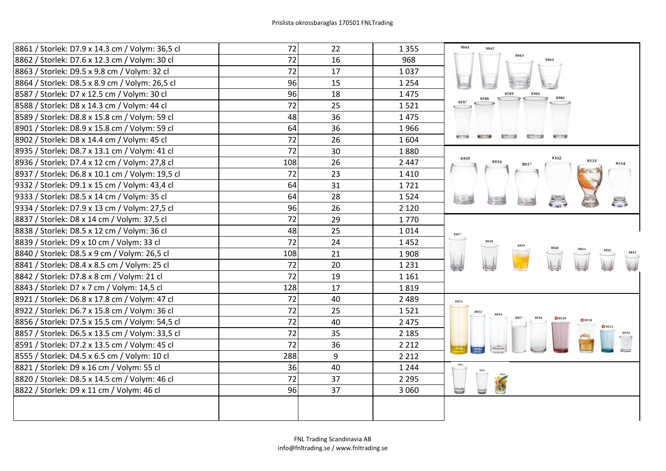| 8861 / Storlek: D7.9 x 14.3 cm / Volym: 36,5 cl | 72  | 22 | 1 3 5 5 | 8861<br>8862                         |
|-------------------------------------------------|-----|----|---------|--------------------------------------|
| 8862 / Storlek: D7.6 x 12.3 cm / Volym: 30 cl   | 72  | 16 | 968     |                                      |
| 8863 / Storlek: D9.5 x 9.8 cm / Volym: 32 cl    | 72  | 17 | 1037    |                                      |
| 8864 / Storlek: D8.5 x 8.9 cm / Volym: 26,5 cl  | 96  | 15 | 1 2 5 4 |                                      |
| 8587 / Storlek: D7 x 12.5 cm / Volym: 30 cl     | 96  | 18 | 1475    |                                      |
| 8588 / Storlek: D8 x 14.3 cm / Volym: 44 cl     | 72  | 25 | 1521    |                                      |
| 8589 / Storlek: D8.8 x 15.8 cm / Volym: 59 cl   | 48  | 36 | 1475    |                                      |
| 8901 / Storlek: D8.9 x 15.8 cm / Volym: 59 cl   | 64  | 36 | 1966    |                                      |
| 8902 / Storlek: D8 x 14.4 cm / Volym: 45 cl     | 72  | 26 | 1604    | ⋹⋺<br>$\leftarrow$                   |
| 8935 / Storlek: D8.7 x 13.1 cm / Volym: 41 cl   | 72  | 30 | 1880    |                                      |
| 8936 / Storlek: D7.4 x 12 cm / Volym: 27,8 cl   | 108 | 26 | 2 4 4 7 | 9332<br>8935<br>9333<br>8936<br>9334 |
| 8937 / Storlek: D6.8 x 10.1 cm / Volym: 19,5 cl | 72  | 23 | 1410    |                                      |
| 9332 / Storlek: D9.1 x 15 cm / Volym: 43,4 cl   | 64  | 31 | 1721    |                                      |
| 9333 / Storlek: D8.5 x 14 cm / Volym: 35 cl     | 64  | 28 | 1524    |                                      |
| 9334 / Storlek: D7.9 x 13 cm / Volym: 27,5 cl   | 96  | 26 | 2 1 2 0 | E.                                   |
| 8837 / Storlek: D8 x 14 cm / Volym: 37,5 cl     | 72  | 29 | 1770    |                                      |
| 8838 / Storlek: D8.5 x 12 cm / Volym: 36 cl     | 48  | 25 | 1014    | 8837                                 |
| 8839 / Storlek: D9 x 10 cm / Volym: 33 cl       | 72  | 24 | 1452    |                                      |
| 8840 / Storlek: D8.5 x 9 cm / Volym: 26,5 cl    | 108 | 21 | 1908    |                                      |
| 8841 / Storlek: D8.4 x 8.5 cm / Volym: 25 cl    | 72  | 20 | 1 2 3 1 |                                      |
| 8842 / Storlek: D7.8 x 8 cm / Volym: 21 cl      | 72  | 19 | 1 1 6 1 |                                      |
| 8843 / Storlek: D7 x 7 cm / Volym: 14,5 cl      | 128 | 17 | 1819    |                                      |
| 8921 / Storlek: D6.8 x 17.8 cm / Volym: 47 cl   | 72  | 40 | 2 4 8 9 | 8921                                 |
| 8922 / Storlek: D6.7 x 15.8 cm / Volym: 36 cl   | 72  | 25 | 1521    |                                      |
| 8856 / Storlek: D7.5 x 15.5 cm / Volym: 54,5 cl | 72  | 40 | 2 4 7 5 |                                      |
| 8857 / Storlek: D6.5 x 13.5 cm / Volym: 33,5 cl | 72  | 35 | 2 1 8 5 |                                      |
| 8591 / Storlek: D7.2 x 13.5 cm / Volym: 45 cl   | 72  | 36 | 2 2 1 2 |                                      |
| 8555 / Storlek: D4.5 x 6.5 cm / Volym: 10 cl    | 288 | 9  | 2 2 1 2 |                                      |
| 8821 / Storlek: D9 x 16 cm / Volym: 55 cl       | 36  | 40 | 1 2 4 4 | 8821                                 |
| 8820 / Storlek: D8.5 x 14.5 cm / Volym: 46 cl   | 72  | 37 | 2 2 9 5 |                                      |
| 8822 / Storlek: D9 x 11 cm / Volym: 46 cl       | 96  | 37 | 3 0 6 0 | $\subseteq$                          |
|                                                 |     |    |         |                                      |
|                                                 |     |    |         |                                      |
|                                                 |     |    |         |                                      |